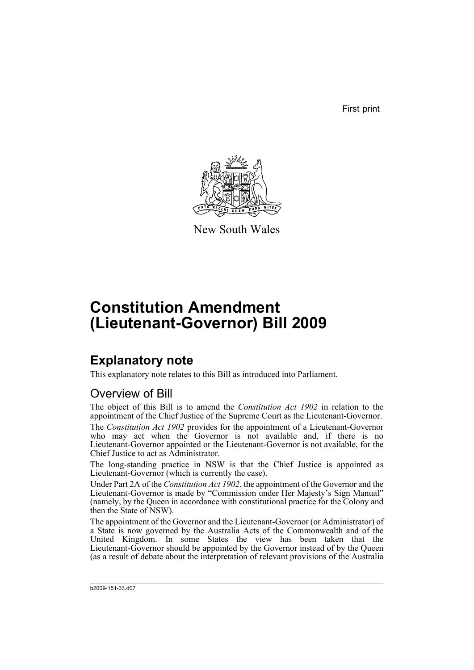First print



New South Wales

# **Constitution Amendment (Lieutenant-Governor) Bill 2009**

## **Explanatory note**

This explanatory note relates to this Bill as introduced into Parliament.

#### Overview of Bill

The object of this Bill is to amend the *Constitution Act 1902* in relation to the appointment of the Chief Justice of the Supreme Court as the Lieutenant-Governor.

The *Constitution Act 1902* provides for the appointment of a Lieutenant-Governor who may act when the Governor is not available and, if there is no Lieutenant-Governor appointed or the Lieutenant-Governor is not available, for the Chief Justice to act as Administrator.

The long-standing practice in NSW is that the Chief Justice is appointed as Lieutenant-Governor (which is currently the case).

Under Part 2A of the *Constitution Act 1902*, the appointment of the Governor and the Lieutenant-Governor is made by "Commission under Her Majesty's Sign Manual" (namely, by the Queen in accordance with constitutional practice for the Colony and then the State of NSW).

The appointment of the Governor and the Lieutenant-Governor (or Administrator) of a State is now governed by the Australia Acts of the Commonwealth and of the United Kingdom. In some States the view has been taken that the Lieutenant-Governor should be appointed by the Governor instead of by the Queen (as a result of debate about the interpretation of relevant provisions of the Australia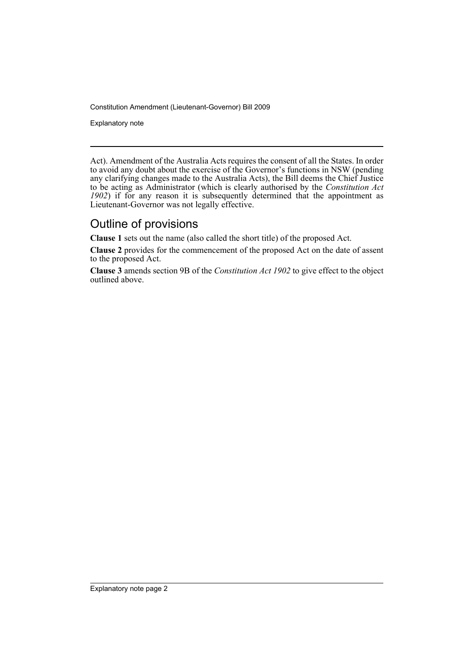Constitution Amendment (Lieutenant-Governor) Bill 2009

Explanatory note

Act). Amendment of the Australia Acts requires the consent of all the States. In order to avoid any doubt about the exercise of the Governor's functions in NSW (pending any clarifying changes made to the Australia Acts), the Bill deems the Chief Justice to be acting as Administrator (which is clearly authorised by the *Constitution Act 1902*) if for any reason it is subsequently determined that the appointment as Lieutenant-Governor was not legally effective.

#### Outline of provisions

**Clause 1** sets out the name (also called the short title) of the proposed Act.

**Clause 2** provides for the commencement of the proposed Act on the date of assent to the proposed Act.

**Clause 3** amends section 9B of the *Constitution Act 1902* to give effect to the object outlined above.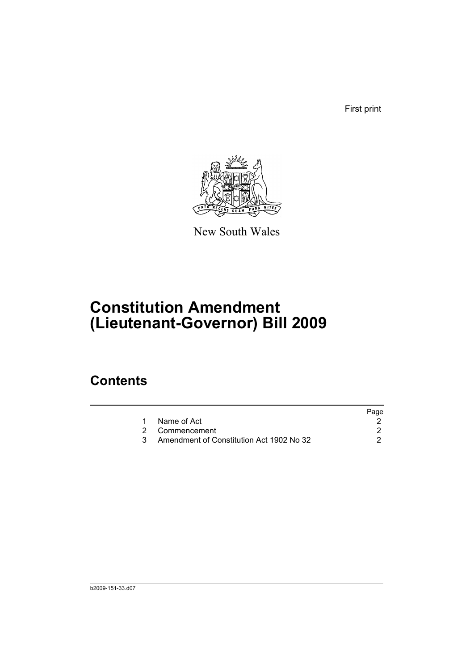First print



New South Wales

# **Constitution Amendment (Lieutenant-Governor) Bill 2009**

### **Contents**

| Page                                     |
|------------------------------------------|
|                                          |
|                                          |
| Amendment of Constitution Act 1902 No 32 |
|                                          |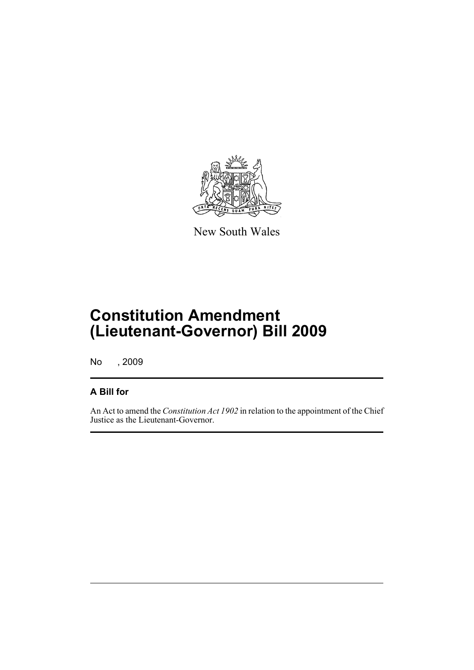

New South Wales

## **Constitution Amendment (Lieutenant-Governor) Bill 2009**

No , 2009

#### **A Bill for**

An Act to amend the *Constitution Act 1902* in relation to the appointment of the Chief Justice as the Lieutenant-Governor.